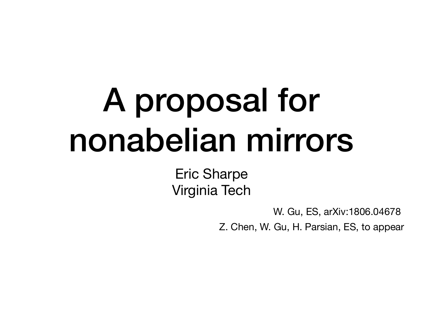# A proposal for nonabelian mirrors

Eric Sharpe Virginia Tech

W. Gu, ES, arXiv:1806.04678

Z. Chen, W. Gu, H. Parsian, ES, to appear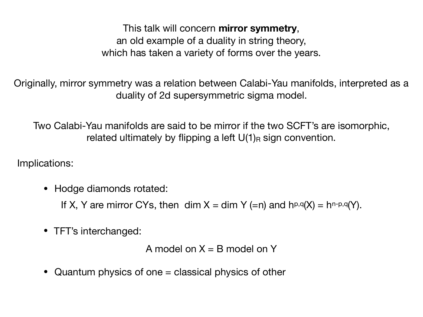This talk will concern **mirror symmetry**, an old example of a duality in string theory, which has taken a variety of forms over the years.

Originally, mirror symmetry was a relation between Calabi-Yau manifolds, interpreted as a duality of 2d supersymmetric sigma model.

Two Calabi-Yau manifolds are said to be mirror if the two SCFT's are isomorphic, related ultimately by flipping a left  $U(1)_R$  sign convention.

Implications:

• Hodge diamonds rotated:

If X, Y are mirror CYs, then dim  $X = \dim Y (=n)$  and  $h^{p,q}(X) = h^{n-p,q}(Y)$ .

• TFT's interchanged:

```
A model on X = B model on Y
```
• Quantum physics of one = classical physics of other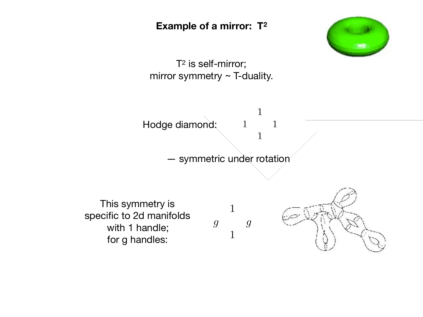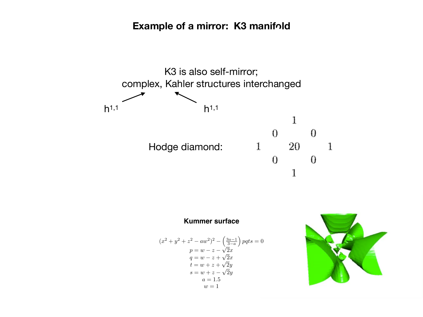#### **Example of a mirror: K3 manifold**



#### **Kummer surface**

$$
(x2 + y2 + z2 – aw2)2 – \left(\frac{3a-1}{3-a}\right) pqts = 0
$$
  
\n
$$
p = w - z - \sqrt{2}x
$$
  
\n
$$
q = w - z + \sqrt{2}x
$$
  
\n
$$
t = w + z + \sqrt{2}y
$$
  
\n
$$
s = w + z - \sqrt{2}y
$$
  
\n
$$
a = 1.5
$$
  
\n
$$
w = 1
$$

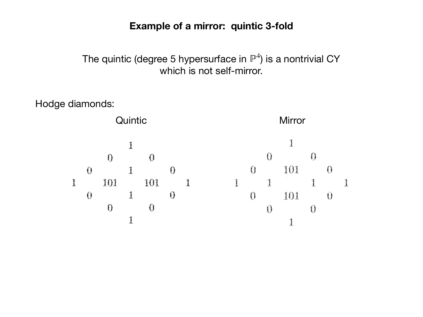#### **Example of a mirror: quintic 3-fold**

The quintic (degree 5 hypersurface in  $\mathbb{P}^4$ ) is a nontrivial CY  $^1$ which is not self-mirror.

Hodge diamonds:

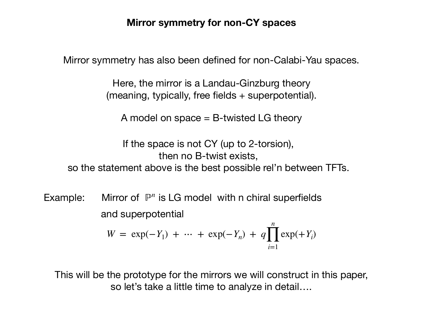#### **Mirror symmetry for non-CY spaces**

Mirror symmetry has also been defined for non-Calabi-Yau spaces.

Here, the mirror is a Landau-Ginzburg theory (meaning, typically, free fields + superpotential).

A model on space  $=$  B-twisted LG theory

If the space is not CY (up to 2-torsion), then no B-twist exists, so the statement above is the best possible rel'n between TFTs.

Example: Mirror of  $\mathbb{P}^n$  is LG model with n chiral superfields and superpotential

$$
W = \exp(-Y_1) + \dots + \exp(-Y_n) + q \prod_{i=1}^{n} \exp(+Y_i)
$$

This will be the prototype for the mirrors we will construct in this paper, so let's take a little time to analyze in detail….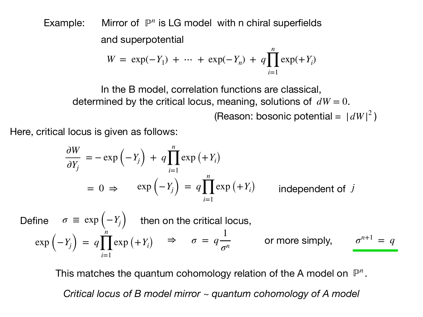Example: Mirror of  $\mathbb{P}^n$  is LG model with n chiral superfields and superpotential

$$
W = \exp(-Y_1) + \dots + \exp(-Y_n) + q \prod_{i=1}^{n} \exp(+Y_i)
$$

In the B model, correlation functions are classical, determined by the critical locus, meaning, solutions of  $dW = 0$ . (Reason: bosonic potential =  $|dW|^2$ )

Here, critical locus is given as follows:

$$
\frac{\partial W}{\partial Y_j} = -\exp\left(-Y_j\right) + q \prod_{i=1}^n \exp\left(+Y_i\right)
$$
  
= 0 \Rightarrow \exp\left(-Y\_j\right) = q \prod\_{i=1}^n \exp\left(+Y\_i\right) independent of j

Define  $\sigma \equiv \exp(-Y_j)$  then on the critical locus, *σ* = *q* 1  $\exp\left(-Y_j\right) = q \prod_{i=1}^n \exp\left(+Y_i\right) \Rightarrow \sigma = q \frac{1}{\sigma^n}$  or more simply,  $\sigma^{n+1} = q$ *n*  $\prod \exp\left(+Y_i\right) \Rightarrow$ *i*=1

This matches the quantum cohomology relation of the A model on  $\mathbb{P}^n$ . *Critical locus of B model mirror ~ quantum cohomology of A model*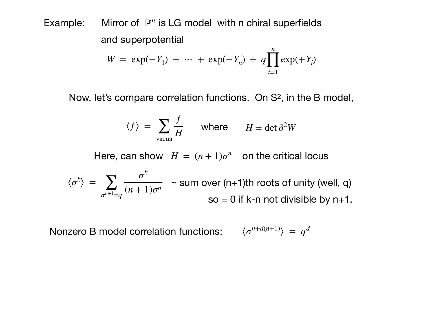Example: Mirror of  $\mathbb{P}^n$  is LG model with n chiral superfields and superpotential

$$
W = \exp(-Y_1) + \dots + \exp(-Y_n) + q \prod_{i=1}^{n} \exp(+Y_i)
$$

Now, let's compare correlation functions. On S2, in the B model,

$$
\langle f \rangle = \sum_{\text{vacua}} \frac{f}{H}
$$
 where  $H = \det \partial^2 W$ 

Here, can show  $H = (n + 1)\sigma^n$  on the critical locus

 $\langle \sigma^k \rangle = \sum_i$ *σn*+1 =*q σk*  $\frac{1}{(n+1)\sigma^n}$  ~ sum over (n+1)th roots of unity (well, q)  $so = 0$  if k-n not divisible by  $n+1$ .

Nonzero B model correlation functions: ⟨*σn*+*d*(*n*+1)

 $\langle \sigma^{n+d(n+1)} \rangle = q^d$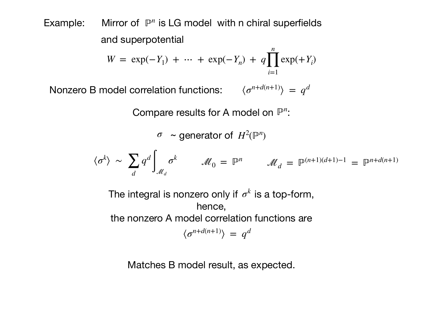Example: Mirror of  $\mathbb{P}^n$  is LG model with n chiral superfields and superpotential

$$
W = \exp(-Y_1) + \dots + \exp(-Y_n) + q \prod_{i=1}^{n} \exp(+Y_i)
$$

Nonzero B model correlation functions:  $\langle \sigma^{n+d(n+1)} \rangle = q^d$ 

Compare results for A model on  $\mathbb{P}^n$ :

 $\sigma$  ~ generator of  $H^2(\mathbb{P}^n)$ 

$$
\langle \sigma^k \rangle \sim \sum_d q^d \int_{\mathcal{M}_d} \sigma^k \qquad \mathcal{M}_0 = \mathbb{P}^n \qquad \mathcal{M}_d = \mathbb{P}^{(n+1)(d+1)-1} = \mathbb{P}^{n+d(n+1)}
$$

The integral is nonzero only if  $\sigma^k$  is a top-form, hence, the nonzero A model correlation functions are  $\langle \sigma^{n+d(n+1)} \rangle = q^d$ 

Matches B model result, as expected.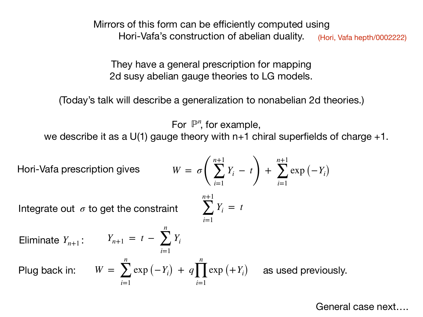Mirrors of this form can be efficiently computed using Hori-Vafa's construction of abelian duality. (Hori, Vafa hepth/0002222)

They have a general prescription for mapping 2d susy abelian gauge theories to LG models.

(Today's talk will describe a generalization to nonabelian 2d theories.)

For  $\mathbb{P}^n$ , for example,

we describe it as a  $U(1)$  gauge theory with  $n+1$  chiral superfields of charge  $+1$ .

 $\sum Y_i = t$ 

*i*=1

**Hori-Vafa prescription gives** 

$$
W = \sigma \left( \sum_{i=1}^{n+1} Y_i - t \right) + \sum_{i=1}^{n+1} \exp \left( -Y_i \right)
$$

Integrate out  $\sigma$  to get the constraint

Eliminate 
$$
Y_{n+1}
$$
:  $Y_{n+1} = t - \sum_{i=1}^{n} Y_i$ 

Plug back in: *W* = *n*  $\sum$  exp  $(-Y_i) + q$ *i*=1 *n i*=1

 $\prod \exp\left(+Y_i\right)$  as used previously.

General case next….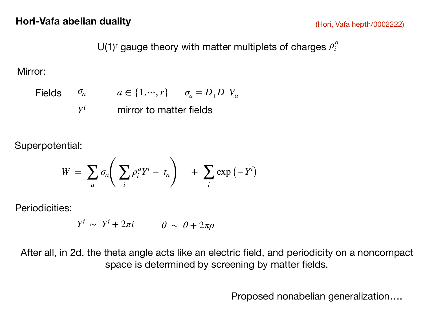U(1)<sup>r</sup> gauge theory with matter multiplets of charges  $\rho_i^a$ 

Mirror:

Fields  $\sigma_a$   $a \in \{1, \cdots, r\}$   $\sigma_a = \overline{D}_+ D_- V_a$ *Yi* mirror to matter fields

Superpotential:

$$
W = \sum_{a} \sigma_{a} \left( \sum_{i} \rho_{i}^{a} Y^{i} - t_{a} \right) + \sum_{i} \exp \left( -Y^{i} \right)
$$

Periodicities:

$$
Y^i \sim Y^i + 2\pi i \qquad \theta \sim \theta + 2\pi \rho
$$

After all, in 2d, the theta angle acts like an electric field, and periodicity on a noncompact space is determined by screening by matter fields.

Proposed nonabelian generalization….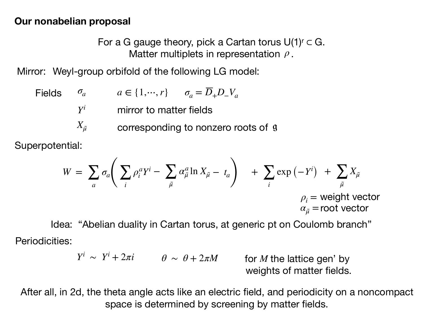## **Our nonabelian proposal**

For a G gauge theory, pick a Cartan torus  $U(1)^r \subset G$ . Matter multiplets in representation  $ρ$ .

Mirror: Weyl-group orbifold of the following LG model:

Fields  $\sigma_a$   $a \in \{1, \cdots, r\}$   $\sigma_a = \overline{D}_+ D_- V_a$ *Yi*  $X_{\tilde{\mu}}$ mirror to matter fields corresponding to nonzero roots of

Superpotential:

$$
W = \sum_{a} \sigma_{a} \left( \sum_{i} \rho_{i}^{a} Y^{i} - \sum_{\tilde{\mu}} \alpha_{\tilde{\mu}}^{a} \ln X_{\tilde{\mu}} - t_{a} \right) + \sum_{i} \exp(-Y^{i}) + \sum_{\tilde{\mu}} X_{\tilde{\mu}}
$$
  

$$
\rho_{i} = \text{weight vector}
$$
  

$$
\alpha_{\tilde{\mu}} = \text{root vector}
$$

Periodicities: Idea: "Abelian duality in Cartan torus, at generic pt on Coulomb branch"

$$
Y^i \sim Y^i + 2\pi i \qquad \theta \sim \theta + 2\pi M \qquad \text{for } M \text{ the lattice gen' byweights of matter fields.}
$$

After all, in 2d, the theta angle acts like an electric field, and periodicity on a noncompact space is determined by screening by matter fields.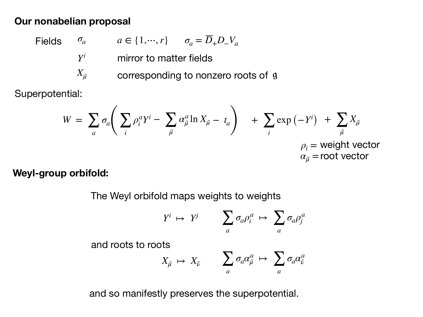#### **Our nonabelian proposal**

Fields  $\sigma_a$   $a \in \{1, \cdots, r\}$   $\sigma_a = \overline{D}_+ D_- V_a$ *Yi*  $X_{\tilde{\mu}}$ mirror to matter fields corresponding to nonzero roots of g

Superpotential:

$$
W = \sum_{a} \sigma_{a} \left( \sum_{i} \rho_{i}^{a} Y^{i} - \sum_{\tilde{\mu}} \alpha_{\tilde{\mu}}^{a} \ln X_{\tilde{\mu}} - t_{a} \right) + \sum_{i} \exp(-Y^{i}) + \sum_{\tilde{\mu}} X_{\tilde{\mu}}
$$
  

$$
\rho_{i} = \text{weight vector}
$$
  

$$
\alpha_{\tilde{\mu}} = \text{root vector}
$$

**Weyl-group orbifold:**

The Weyl orbifold maps weights to weights

$$
Y^i \mapsto Y^j \qquad \sum_a \sigma_a \rho_i^a \mapsto \sum_a \sigma_a \rho_j^a
$$

and roots to roots

$$
X_{\tilde{\mu}} \ \mapsto \ X_{\tilde{\nu}} \qquad \sum_{a} \sigma_a \alpha_{\tilde{\mu}}^a \ \mapsto \ \sum_{a} \sigma_a \alpha_{\tilde{\nu}}^a
$$

and so manifestly preserves the superpotential.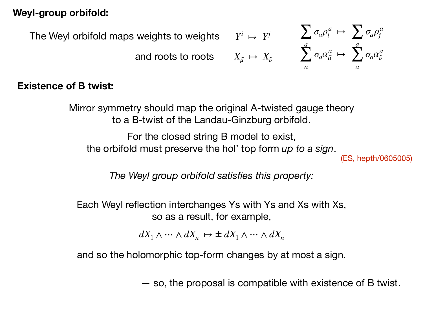## **Weyl-group orbifold:**

The Weyl orbifold maps weights to weights  $Y^i \mapsto Y^j$  ∠ *a*  $\sigma_a \rho_i^a$   $\mapsto$   $\sum$ *a*  $\sigma_a \rho_j^a$ and roots to roots  $X_{\tilde{\mu}} \mapsto X_{\tilde{\nu}}$  ∑ *a*  $\sigma_{a}^{} \alpha_{\tilde{\mu}}^a \ \mapsto \ \sum \{$ *a*  $\sigma_a^{}\alpha_{\tilde{\nu}}^a$ 

## **Existence of B twist:**

Mirror symmetry should map the original A-twisted gauge theory to a B-twist of the Landau-Ginzburg orbifold.

For the closed string B model to exist, the orbifold must preserve the hol' top form *up to a sign*. (ES, hepth/0605005)

*The Weyl group orbifold satisfies this property:*

Each Weyl reflection interchanges Ys with Ys and Xs with Xs, so as a result, for example,

 $dX_1 \wedge \cdots \wedge dX_n$   $\mapsto \pm dX_1 \wedge \cdots \wedge dX_n$ 

and so the holomorphic top-form changes by at most a sign.

— so, the proposal is compatible with existence of B twist.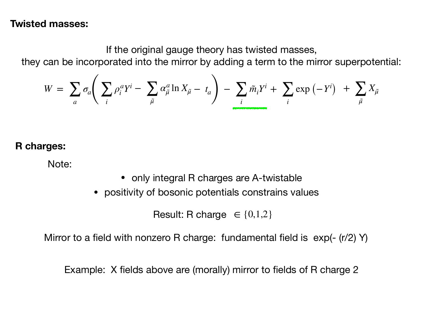### **Twisted masses:**

If the original gauge theory has twisted masses,

they can be incorporated into the mirror by adding a term to the mirror superpotential:

$$
W = \sum_{a} \sigma_{a} \left( \sum_{i} \rho_{i}^{a} Y^{i} - \sum_{\tilde{\mu}} \alpha_{\tilde{\mu}}^{a} \ln X_{\tilde{\mu}} - t_{a} \right) - \sum_{i} \tilde{m}_{i} Y^{i} + \sum_{i} \exp(-Y^{i}) + \sum_{\tilde{\mu}} X_{\tilde{\mu}}
$$

## **R charges:**

Note:

• only integral R charges are A-twistable

• positivity of bosonic potentials constrains values

Result: R charge  $\in \{0,1,2\}$ 

Mirror to a field with nonzero R charge: fundamental field is  $exp(- (r/2) Y)$ 

Example: X fields above are (morally) mirror to fields of R charge 2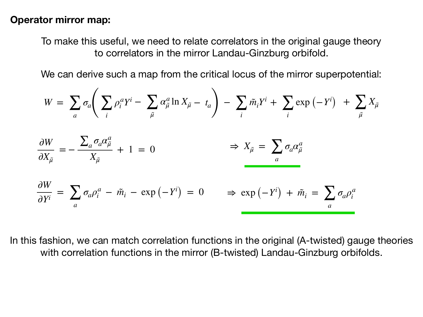## **Operator mirror map:**

To make this useful, we need to relate correlators in the original gauge theory to correlators in the mirror Landau-Ginzburg orbifold.

We can derive such a map from the critical locus of the mirror superpotential:

$$
W = \sum_{a} \sigma_{a} \left( \sum_{i} \rho_{i}^{a} Y^{i} - \sum_{\tilde{\mu}} \alpha_{\tilde{\mu}}^{a} \ln X_{\tilde{\mu}} - t_{a} \right) - \sum_{i} \tilde{m}_{i} Y^{i} + \sum_{i} \exp(-Y^{i}) + \sum_{\tilde{\mu}} X_{\tilde{\mu}}
$$
  
\n
$$
\frac{\partial W}{\partial X_{\tilde{\mu}}} = -\frac{\sum_{a} \sigma_{a} \alpha_{\tilde{\mu}}^{a}}{X_{\tilde{\mu}}} + 1 = 0 \qquad \Rightarrow X_{\tilde{\mu}} = \sum_{a} \sigma_{a} \alpha_{\tilde{\mu}}^{a}
$$
  
\n
$$
\frac{\partial W}{\partial Y^{i}} = \sum_{a} \sigma_{a} \rho_{i}^{a} - \tilde{m}_{i} - \exp(-Y^{i}) = 0 \qquad \Rightarrow \exp(-Y^{i}) + \tilde{m}_{i} = \sum_{a} \sigma_{a} \rho_{i}^{a}
$$

In this fashion, we can match correlation functions in the original (A-twisted) gauge theories with correlation functions in the mirror (B-twisted) Landau-Ginzburg orbifolds.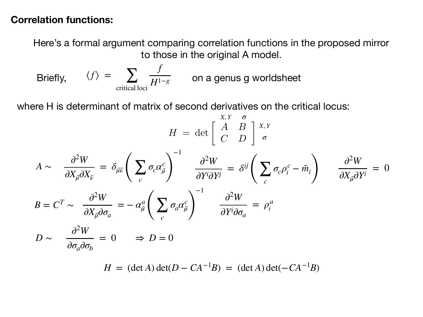## **Correlation functions:**

Here's a formal argument comparing correlation functions in the proposed mirror to those in the original A model.

$$
\text{Briefly, } \qquad \langle f \rangle = \sum_{\text{critical loci}} \frac{f}{H^{1-g}} \qquad \text{on a genus } g \text{ worldsheet}
$$

where H is determinant of matrix of second derivatives on the critical locus:

$$
H = \det \begin{bmatrix} \stackrel{X,Y}{A} & \sigma \\ \stackrel{G}{C} & D \end{bmatrix} \stackrel{X,Y}{\sigma}
$$
\n
$$
A \sim \frac{\partial^2 W}{\partial X_{\tilde{\mu}} \partial X_{\tilde{\nu}}} = \delta_{\tilde{\mu}\tilde{\nu}} \left( \sum_c \sigma_c \alpha_{\tilde{\mu}}^c \right)^{-1} \frac{\partial^2 W}{\partial Y^i \partial Y^j} = \delta^{ij} \left( \sum_c \sigma_c \rho_i^c - \tilde{m}_i \right) \frac{\partial^2 W}{\partial X_{\tilde{\mu}} \partial Y^i} = 0
$$
\n
$$
B = C^T \sim \frac{\partial^2 W}{\partial X_{\tilde{\mu}} \partial \sigma_a} = -\alpha_{\tilde{\mu}}^a \left( \sum_c \sigma_a \alpha_{\tilde{\mu}}^c \right)^{-1} \frac{\partial^2 W}{\partial Y^i \partial \sigma_a} = \rho_i^a
$$
\n
$$
D \sim \frac{\partial^2 W}{\partial \sigma_a \partial \sigma_b} = 0 \Rightarrow D = 0
$$

$$
H = (\det A) \det(D - CA^{-1}B) = (\det A) \det(-CA^{-1}B)
$$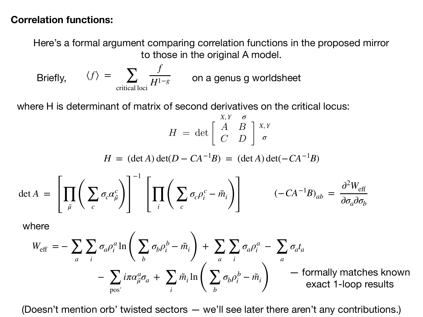## **Correlation functions:**

Here's a formal argument comparing correlation functions in the proposed mirror to those in the original A model.

$$
\text{Briefly, } \qquad \langle f \rangle = \sum_{\text{critical loci}} \frac{f}{H^{1-g}} \qquad \text{on a genus } g \text{ worldsheet}
$$

where H is determinant of matrix of second derivatives on the critical locus:

$$
H = \det \left[ \begin{array}{cc} X, Y & \sigma \\ A & B \\ C & D \end{array} \right] \stackrel{X,Y}{\sigma}
$$

*X*, *Y*

$$
H = (\det A) \det(D - CA^{-1}B) = (\det A) \det(-CA^{-1}B)
$$

$$
\det A = \left[ \prod_{\tilde{\mu}} \left( \sum_{c} \sigma_{c} \alpha_{\tilde{\mu}}^{c} \right) \right]^{-1} \left[ \prod_{i} \left( \sum_{c} \sigma_{c} \rho_{i}^{c} - \tilde{m}_{i} \right) \right] \qquad (-CA^{-1}B)_{ab} = \frac{\partial^{2} W_{\text{eff}}}{\partial \sigma_{a} \partial \sigma_{b}}
$$

where

$$
W_{\text{eff}} = -\sum_{a} \sum_{i} \sigma_{a} \rho_{i}^{a} \ln \left( \sum_{b} \sigma_{b} \rho_{i}^{b} - \tilde{m}_{i} \right) + \sum_{a} \sum_{i} \sigma_{a} \rho_{i}^{a} - \sum_{a} \sigma_{a} t_{a}
$$
  
- 
$$
\sum_{\text{pos}'} i \pi \alpha_{\tilde{\mu}}^{a} \sigma_{a} + \sum_{i} \tilde{m}_{i} \ln \left( \sum_{b} \sigma_{b} \rho_{i}^{b} - \tilde{m}_{i} \right)
$$
— formally matches known exact 1-loop results

(Doesn't mention orb' twisted sectors — we'll see later there aren't any contributions.)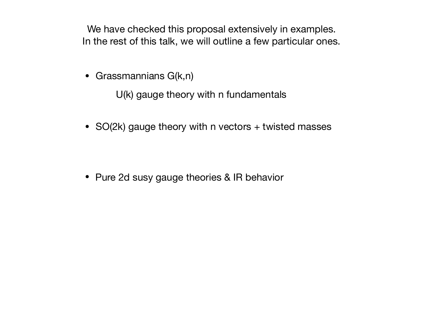We have checked this proposal extensively in examples. In the rest of this talk, we will outline a few particular ones.

• Grassmannians G(k,n)

U(k) gauge theory with n fundamentals

• SO(2k) gauge theory with n vectors + twisted masses

• Pure 2d susy gauge theories & IR behavior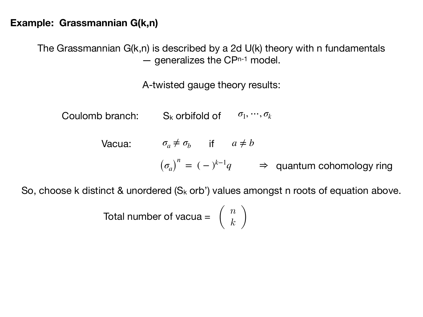The Grassmannian G(k,n) is described by a 2d U(k) theory with n fundamentals — generalizes the CPn-1 model.

A-twisted gauge theory results:

Coulomb branch:  $S_k$  orbifold of  $\sigma_1, \dots, \sigma_k$ 

Vacua:  $\sigma_a \neq \sigma_b$  if  $a \neq b$  $(\sigma_a)$ *n*  $=$   $(-)^{k-1}q$   $\Rightarrow$  quantum cohomology ring

So, choose k distinct & unordered  $(S_k$  orb') values amongst n roots of equation above.

Total number of vacua =  $\begin{pmatrix} n \\ n \end{pmatrix}$ *k* ◆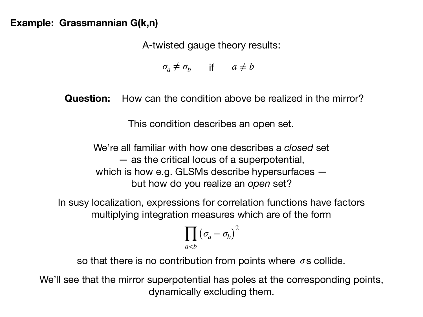A-twisted gauge theory results:

 $\sigma_a \neq \sigma_b$  if  $a \neq b$ 

**Question:** How can the condition above be realized in the mirror?

This condition describes an open set.

We're all familiar with how one describes a *closed* set — as the critical locus of a superpotential, which is how e.g. GLSMs describe hypersurfaces but how do you realize an *open* set?

In susy localization, expressions for correlation functions have factors multiplying integration measures which are of the form

$$
\prod_{a
$$

so that there is no contribution from points where  $\sigma$ s collide.

We'll see that the mirror superpotential has poles at the corresponding points, dynamically excluding them.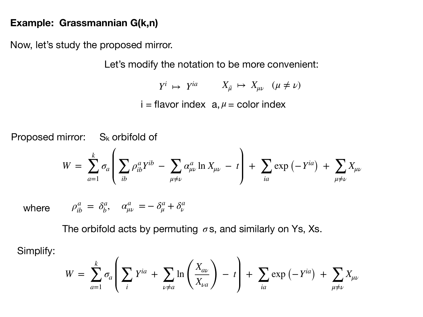Now, let's study the proposed mirror.

Let's modify the notation to be more convenient:

 $Y^i \mapsto Y^{ia}$  *X*<sub> $\tilde{\mu} \mapsto X_{\mu\nu}$ ( $\mu \neq \nu$ )</sub>

 $i =$  flavor index  $a, \mu =$  color index

Proposed mirror:  $S_k$  orbifold of

$$
W = \sum_{a=1}^{k} \sigma_a \left( \sum_{ib} \rho_{ib}^a Y^{ib} - \sum_{\mu \neq \nu} \alpha_{\mu\nu}^a \ln X_{\mu\nu} - t \right) + \sum_{ia} \exp\left(-Y^{ia}\right) + \sum_{\mu \neq \nu} X_{\mu\nu}
$$

 $w$ here

$$
\rho_{ib}^a = \delta_b^a, \quad \alpha_{\mu\nu}^a = -\delta_\mu^a + \delta_\nu^a
$$

The orbifold acts by permuting  $\sigma$ s, and similarly on Ys, Xs.

Simplify:

$$
W = \sum_{a=1}^{k} \sigma_a \left( \sum_{i} Y^{ia} + \sum_{\nu \neq a} \ln \left( \frac{X_{a\nu}}{X_{\nu a}} \right) - t \right) + \sum_{ia} \exp \left( -Y^{ia} \right) + \sum_{\mu \neq \nu} X_{\mu\nu}
$$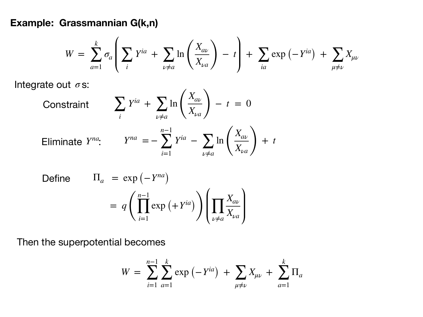$$
W = \sum_{a=1}^{k} \sigma_a \left( \sum_i Y^{ia} + \sum_{\nu \neq a} \ln \left( \frac{X_{a\nu}}{X_{\nu a}} \right) - t \right) + \sum_{ia} \exp \left( -Y^{ia} \right) + \sum_{\mu \neq \nu} X_{\mu\nu}
$$

Integrate out σs:

$$
\text{Constant} \qquad \sum_{i} Y^{ia} + \sum_{\nu \neq a} \ln \left( \frac{X_{a\nu}}{X_{\nu a}} \right) - t = 0
$$

Eliminate 
$$
Y^{na}
$$
.  $Y^{na} = -\sum_{i=1}^{n-1} Y^{ia} - \sum_{\nu \neq a} \ln\left(\frac{X_{a\nu}}{X_{\nu a}}\right) + t$ 

Define 
$$
\Pi_a = \exp(-Y^{na})
$$
  
=  $q \left( \prod_{i=1}^{n-1} \exp(+Y^{ia}) \right) \left( \prod_{\nu \neq a} \frac{X_{a\nu}}{X_{\nu a}} \right)$ 

Then the superpotential becomes

$$
W = \sum_{i=1}^{n-1} \sum_{a=1}^{k} \exp(-Y^{ia}) + \sum_{\mu \neq \nu} X_{\mu\nu} + \sum_{a=1}^{k} \Pi_a
$$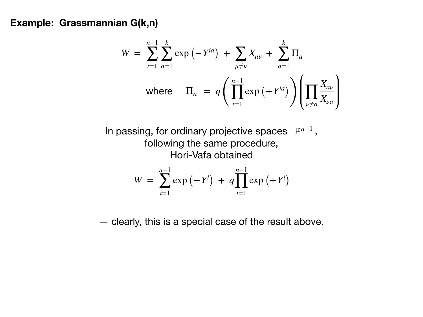$$
W = \sum_{i=1}^{n-1} \sum_{a=1}^{k} \exp(-Y^{ia}) + \sum_{\mu \neq \nu} X_{\mu\nu} + \sum_{a=1}^{k} \Pi_a
$$
  
where  $\Pi_a = q \left( \prod_{i=1}^{n-1} \exp(+Y^{ia}) \right) \left( \prod_{\nu \neq a} \frac{X_{a\nu}}{X_{\nu a}} \right)$ 

In passing, for ordinary projective spaces  $\mathbb{P}^{n-1}$ , following the same procedure, Hori-Vafa obtained

$$
W = \sum_{i=1}^{n-1} \exp(-Y^{i}) + q \prod_{i=1}^{n-1} \exp(+Y^{i})
$$

— clearly, this is a special case of the result above.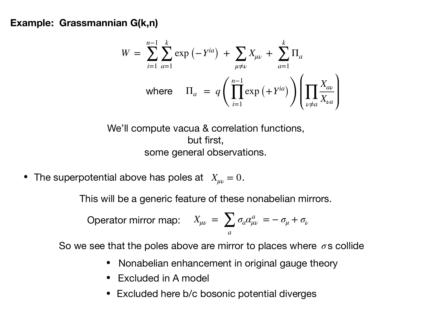$$
W = \sum_{i=1}^{n-1} \sum_{a=1}^{k} \exp(-Y^{ia}) + \sum_{\mu \neq \nu} X_{\mu\nu} + \sum_{a=1}^{k} \Pi_a
$$
  
where  $\Pi_a = q \left( \prod_{i=1}^{n-1} \exp(+Y^{ia}) \right) \left( \prod_{\nu \neq a} \frac{X_{a\nu}}{X_{\nu a}} \right)$ 

We'll compute vacua & correlation functions, but first, some general observations.

• The superpotential above has poles at  $X_{\mu\nu} = 0$ .

This will be a generic feature of these nonabelian mirrors.

$$
\text{Operator mirror map:} \quad X_{\mu\nu} = \sum_{a} \sigma_a \alpha_{\mu\nu}^a = -\sigma_{\mu} + \sigma_{\nu}
$$

So we see that the poles above are mirror to places where *σ*s collide

- Nonabelian enhancement in original gauge theory
- Excluded in A model
- Excluded here b/c bosonic potential diverges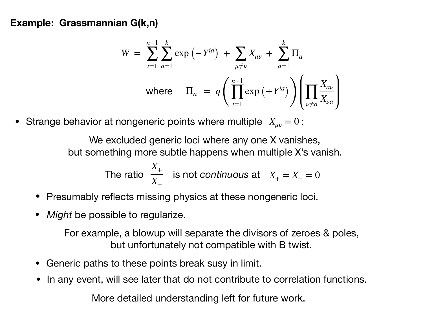$$
W = \sum_{i=1}^{n-1} \sum_{a=1}^{k} \exp(-Y^{ia}) + \sum_{\mu \neq \nu} X_{\mu\nu} + \sum_{a=1}^{k} \Pi_a
$$
  
where  $\Pi_a = q \left( \prod_{i=1}^{n-1} \exp(+Y^{ia}) \right) \left( \prod_{\nu \neq a} \frac{X_{a\nu}}{X_{\nu a}} \right)$ 

• Strange behavior at nongeneric points where multiple  $X_{\mu\nu} = 0$ :

We excluded generic loci where any one X vanishes, but something more subtle happens when multiple X's vanish.

The ratio 
$$
\frac{X_+}{X_-}
$$
 is not continuous at  $X_+ = X_- = 0$ 

- Presumably reflects missing physics at these nongeneric loci.
- *Might* be possible to regularize.

For example, a blowup will separate the divisors of zeroes & poles, but unfortunately not compatible with B twist.

- Generic paths to these points break susy in limit.
- In any event, will see later that do not contribute to correlation functions.

More detailed understanding left for future work.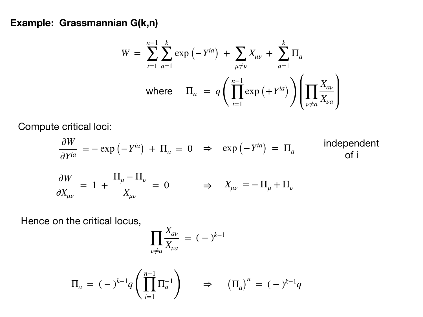$$
W = \sum_{i=1}^{n-1} \sum_{a=1}^{k} \exp(-Y^{ia}) + \sum_{\mu \neq \nu} X_{\mu\nu} + \sum_{a=1}^{k} \Pi_a
$$
  
where  $\Pi_a = q \left( \prod_{i=1}^{n-1} \exp(+Y^{ia}) \right) \left( \prod_{\nu \neq a} \frac{X_{a\nu}}{X_{\nu a}} \right)$ 

Compute critical loci:

$$
\frac{\partial W}{\partial Y^{ia}} = -\exp(-Y^{ia}) + \Pi_a = 0 \Rightarrow \exp(-Y^{ia}) = \Pi_a
$$
 independent  
\n
$$
\frac{\partial W}{\partial X_{\mu\nu}} = 1 + \frac{\Pi_{\mu} - \Pi_{\nu}}{X_{\mu\nu}} = 0 \Rightarrow X_{\mu\nu} = -\Pi_{\mu} + \Pi_{\nu}
$$

Hence on the critical locus,

$$
\prod_{\nu \neq a} \frac{X_{a\nu}}{X_{\nu a}} = (-)^{k-1}
$$

$$
\Pi_a = (-)^{k-1} q \left( \prod_{i=1}^{n-1} \Pi_a^{-1} \right) \qquad \Rightarrow \qquad \left( \Pi_a \right)^n = (-)^{k-1} q
$$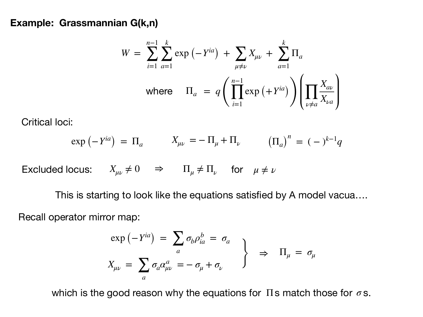$$
W = \sum_{i=1}^{n-1} \sum_{a=1}^{k} \exp(-Y^{ia}) + \sum_{\mu \neq \nu} X_{\mu\nu} + \sum_{a=1}^{k} \Pi_a
$$
  
where  $\Pi_a = q \left( \prod_{i=1}^{n-1} \exp(+Y^{ia}) \right) \left( \prod_{\nu \neq a} \frac{X_{a\nu}}{X_{\nu a}} \right)$ 

Critical loci:

$$
\exp(-Y^{ia}) = \Pi_a \qquad X_{\mu\nu} = -\Pi_{\mu} + \Pi_{\nu} \qquad (\Pi_a)^n = (-)^{k-1}q
$$

Excluded locus:  $X_{\mu\nu} \neq 0 \Rightarrow \Pi_{\mu} \neq \Pi_{\nu}$  for  $\mu \neq \nu$ 

This is starting to look like the equations satisfied by A model vacua….

Recall operator mirror map:

$$
\exp(-Y^{ia}) = \sum_{a} \sigma_b \rho_{ia}^b = \sigma_a
$$
  

$$
X_{\mu\nu} = \sum_{a} \sigma_a \alpha_{\mu\nu}^a = -\sigma_{\mu} + \sigma_{\nu}
$$
  $\Rightarrow$   $\Pi_{\mu} = \sigma_{\mu}$ 

which is the good reason why the equations for  $\Pi$ s match those for  $\sigma$ s.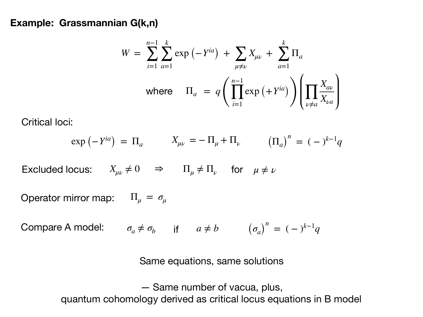$$
W = \sum_{i=1}^{n-1} \sum_{a=1}^{k} \exp(-Y^{ia}) + \sum_{\mu \neq \nu} X_{\mu\nu} + \sum_{a=1}^{k} \Pi_a
$$
  
where  $\Pi_a = q \left( \prod_{i=1}^{n-1} \exp(+Y^{ia}) \right) \left( \prod_{\nu \neq a} \frac{X_{a\nu}}{X_{\nu a}} \right)$ 

Critical loci:

$$
\exp(-Y^{ia}) = \Pi_a \qquad X_{\mu\nu} = -\Pi_{\mu} + \Pi_{\nu} \qquad (\Pi_a)^n = (-)^{k-1}q
$$

Excluded locus:  $X_{\mu\nu} \neq 0 \Rightarrow \Pi_{\mu} \neq \Pi_{\nu}$  for  $\mu \neq \nu$ 

Operator mirror map:  $\Pi_\mu\,=\,\sigma_\mu$ 

Compare A model:  $\sigma_a \neq \sigma_b$  if  $a \neq b$   $(\sigma_a)^n$  $=$   $(-)^{k-1}q$ 

Same equations, same solutions

— Same number of vacua, plus, quantum cohomology derived as critical locus equations in B model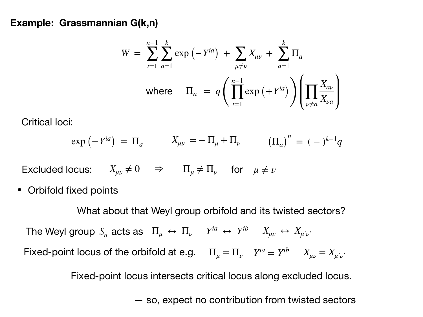$$
W = \sum_{i=1}^{n-1} \sum_{a=1}^{k} \exp(-Y^{ia}) + \sum_{\mu \neq \nu} X_{\mu\nu} + \sum_{a=1}^{k} \Pi_a
$$
  
where  $\Pi_a = q \left( \prod_{i=1}^{n-1} \exp(+Y^{ia}) \right) \left( \prod_{\nu \neq a} \frac{X_{a\nu}}{X_{\nu a}} \right)$ 

Critical loci:

$$
\exp(-Y^{ia}) = \Pi_a \qquad X_{\mu\nu} = -\Pi_{\mu} + \Pi_{\nu} \qquad (\Pi_a)^n = (-)^{k-1}q
$$

Excluded locus:  $X_{\mu\nu} \neq 0 \Rightarrow \Pi_{\mu} \neq \Pi_{\nu}$  for  $\mu \neq \nu$ 

• Orbifold fixed points

What about that Weyl group orbifold and its twisted sectors? Fixed-point locus of the orbifold at e.g.  $\Pi_{\mu} = \Pi_{\nu}$   $Y^{ia} = Y^{ib}$   $X_{\mu\nu} = X_{\mu'\nu'}$ The Weyl group  $S_n$  acts as  $\ \Pi_\mu \ \leftrightarrow \ \Pi_\nu \ \quad Y^{ia} \ \leftrightarrow \ Y^{ib} \ \quad X_{\mu\nu} \ \leftrightarrow \ X_{\mu'\nu'}$ 

Fixed-point locus intersects critical locus along excluded locus.

— so, expect no contribution from twisted sectors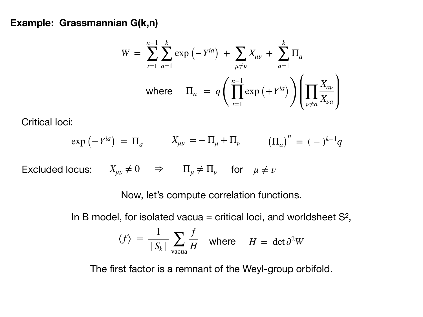$$
W = \sum_{i=1}^{n-1} \sum_{a=1}^{k} \exp(-Y^{ia}) + \sum_{\mu \neq \nu} X_{\mu\nu} + \sum_{a=1}^{k} \Pi_a
$$
  
where  $\Pi_a = q \left( \prod_{i=1}^{n-1} \exp(+Y^{ia}) \right) \left( \prod_{\nu \neq a} \frac{X_{a\nu}}{X_{\nu a}} \right)$ 

Critical loci:

$$
\exp(-Y^{ia}) = \Pi_a \qquad X_{\mu\nu} = -\Pi_{\mu} + \Pi_{\nu} \qquad (\Pi_a)^n = (-)^{k-1}q
$$

Excluded locus:  $X_{\mu\nu} \neq 0 \Rightarrow \Pi_{\mu} \neq \Pi_{\nu}$  for  $\mu \neq \nu$ 

Now, let's compute correlation functions.

In B model, for isolated vacua = critical loci, and worldsheet  $S^2$ ,

$$
\langle f \rangle = \frac{1}{|S_k|} \sum_{\text{vacua}} \frac{f}{H}
$$
 where  $H = \det \partial^2 W$ 

The first factor is a remnant of the Weyl-group orbifold.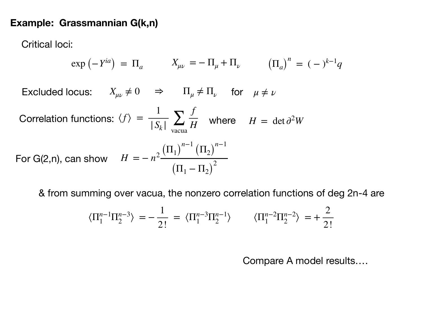Critical loci:

$$
\exp(-Y^{ia}) = \Pi_a \qquad X_{\mu\nu} = -\Pi_{\mu} + \Pi_{\nu} \qquad (\Pi_a)^n = (-)^{k-1}q
$$

Excluded locus:  $X_{\mu\nu} \neq 0 \Rightarrow \Pi_{\mu} \neq \Pi_{\nu}$  for  $\mu \neq \nu$ 

Correlation functions: 
$$
\langle f \rangle = \frac{1}{|S_k|} \sum_{\text{vacua}} \frac{f}{H}
$$
 where  $H = \det \partial^2 W$   
For G(2,n), can show  $H = -n^2 \frac{(\Pi_1)^{n-1} (\Pi_2)^{n-1}}{(\Pi_1 - \Pi_2)^2}$ 

& from summing over vacua, the nonzero correlation functions of deg 2n-4 are

$$
\langle \Pi_1^{n-1} \Pi_2^{n-3} \rangle = -\frac{1}{2!} = \langle \Pi_1^{n-3} \Pi_2^{n-1} \rangle \qquad \langle \Pi_1^{n-2} \Pi_2^{n-2} \rangle = +\frac{2}{2!}
$$

Compare A model results….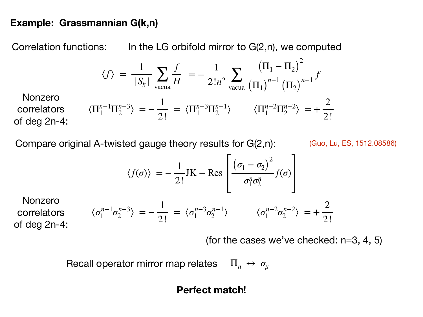Correlation functions: In the LG orbifold mirror to G(2,n), we computed

$$
\langle f \rangle = \frac{1}{|S_k|} \sum_{\text{vacua}} \frac{f}{H} = -\frac{1}{2!n^2} \sum_{\text{vacua}} \frac{\left(\Pi_1 - \Pi_2\right)^2}{\left(\Pi_1\right)^{n-1} \left(\Pi_2\right)^{n-1}} f
$$

$$
\langle \Pi_1^{n-1} \Pi_2^{n-3} \rangle = -\frac{1}{2!} = \langle \Pi_1^{n-3} \Pi_2^{n-1} \rangle \qquad \langle \Pi_1^{n-2} \Pi_2^{n-2} \rangle = +\frac{2}{2!}
$$

Nonzero correlators of deg 2n-4:

Compare original A-twisted gauge theory results for G(2,n):

(Guo, Lu, ES, 1512.08586)

2

2!

$$
\langle f(\sigma) \rangle = -\frac{1}{2!} JK - \text{Res} \left[ \frac{(\sigma_1 - \sigma_2)^2}{\sigma_1^n \sigma_2^n} f(\sigma) \right]
$$

$$
\langle \sigma_1^{n-1} \sigma_2^{n-3} \rangle = -\frac{1}{2!} = \langle \sigma_1^{n-3} \sigma_2^{n-1} \rangle \qquad \langle \sigma_1^{n-2} \sigma_2^{n-2} \rangle
$$

 $= \langle \sigma_1^{n-3} \sigma_2^{n-1} \rangle \qquad \langle \sigma_1^{n-2} \sigma_2^{n-2} \rangle = +$ 

**Nonzero** correlators of deg 2n-4:

(for the cases we've checked:  $n=3, 4, 5$ )

Recall operator mirror map relates Π*<sup>μ</sup>* ↔ *σμ*

2!

## **Perfect match!**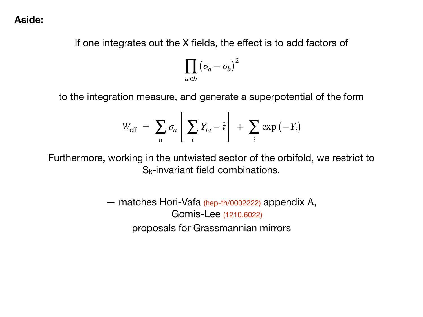**Aside:**

If one integrates out the X fields, the effect is to add factors of

$$
\prod_{a
$$

to the integration measure, and generate a superpotential of the form

$$
W_{\text{eff}} = \sum_{a} \sigma_a \left[ \sum_{i} Y_{ia} - \tilde{t} \right] + \sum_{i} \exp(-Y_i)
$$

Furthermore, working in the untwisted sector of the orbifold, we restrict to Sk-invariant field combinations.

> — matches Hori-Vafa (hep-th/0002222) appendix A, Gomis-Lee (1210.6022) proposals for Grassmannian mirrors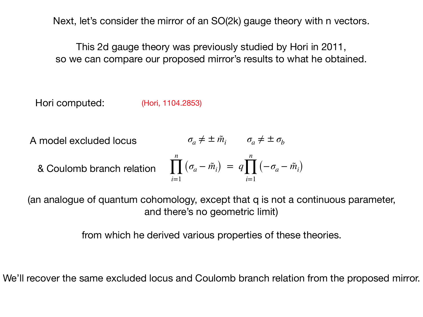Next, let's consider the mirror of an SO(2k) gauge theory with n vectors.

This 2d gauge theory was previously studied by Hori in 2011, so we can compare our proposed mirror's results to what he obtained.

Hori computed: (Hori, 1104.2853)

A model excluded locus  $\sigma_a \neq \pm \tilde{m}_i$   $\sigma_a \neq \pm \sigma_b$ & Coulomb branch relation *n* ∏ *i*=1  $(\sigma_a - \tilde{m}_i) = q$ *n* ∏ *i*=1  $(-\sigma_a - \tilde{m}_i)$ 

(an analogue of quantum cohomology, except that q is not a continuous parameter, and there's no geometric limit)

from which he derived various properties of these theories.

We'll recover the same excluded locus and Coulomb branch relation from the proposed mirror.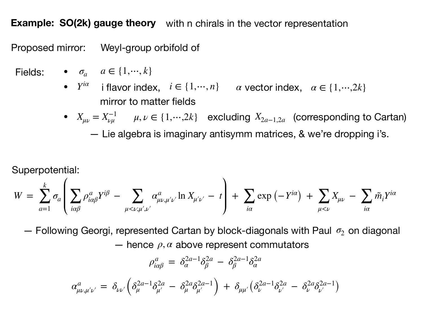Proposed mirror: Weyl-group orbifold of

$$
\text{Fields:} \qquad \bullet \quad \sigma_a \quad a \in \{1, \cdots, k\}
$$

•  $Y^{i\alpha}$  i flavor index,  $i \in \{1, \dots, n\}$  *α* vector index,  $\alpha \in \{1, \dots, 2k\}$ mirror to matter fields

• 
$$
X_{\mu\nu} = X_{\nu\mu}^{-1}
$$
  $\mu, \nu \in \{1, \dots, 2k\}$  excluding  $X_{2a-1,2a}$  (corresponding to Cartan)  
— Lie algebra is imaginary antisymm matrices, & we're dropping i's.

Superpotential:

$$
W = \sum_{a=1}^{k} \sigma_a \left( \sum_{i\alpha\beta} \rho_{i\alpha\beta}^a Y^{i\beta} - \sum_{\mu < \nu; \mu', \nu'} \alpha_{\mu\nu, \mu'\nu'}^a \ln X_{\mu'\nu'} - t \right) + \sum_{i\alpha} \exp\left(-Y^{i\alpha}\right) + \sum_{\mu < \nu} X_{\mu\nu} - \sum_{i\alpha} \tilde{m}_i Y^{i\alpha}
$$

 $-$  Following Georgi, represented Cartan by block-diagonals with Paul  $\sigma_2$  on diagonal

 $\rho$  hence  $\rho$ , *α* above represent commutators

$$
\rho_{i\alpha\beta}^a = \delta_{\alpha}^{2a-1} \delta_{\beta}^{2a} - \delta_{\beta}^{2a-1} \delta_{\alpha}^{2a}
$$

$$
\alpha^a_{\mu\nu,\mu'\nu'} = \delta_{\nu\nu'} \left( \delta^{2a-1}_{\mu} \delta^{2a}_{\mu'} - \delta^{2a}_{\mu} \delta^{2a-1}_{\mu'} \right) + \delta_{\mu\mu'} \left( \delta^{2a-1}_{\nu} \delta^{2a}_{\nu'} - \delta^{2a}_{\nu} \delta^{2a-1}_{\nu'} \right)
$$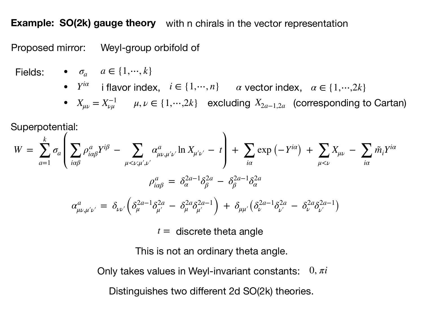Proposed mirror: Weyl-group orbifold of

Fields: •  $\sigma_a$   $a \in \{1, \dots, k\}$ 

- $Y^{i\alpha}$  i flavor index,  $i \in \{1, \dots, n\}$  *α* vector index,  $\alpha \in \{1, \dots, 2k\}$
- $X_{\mu\nu} = X_{\nu\mu}^{-1}$   $\mu, \nu \in \{1, \dots, 2k\}$  excluding  $X_{2a-1,2a}$  (corresponding to Cartan)

Superpotential:

$$
W = \sum_{a=1}^{k} \sigma_a \left( \sum_{i\alpha\beta} \rho_{i\alpha\beta}^a Y^{i\beta} - \sum_{\mu < \nu; \mu', \nu'} \alpha_{\mu\nu, \mu'\nu'}^a \ln X_{\mu'\nu'} - t \right) + \sum_{i\alpha} \exp(-Y^{i\alpha}) + \sum_{\mu < \nu} X_{\mu\nu} - \sum_{i\alpha} \tilde{m}_i Y^{i\alpha}
$$
\n
$$
\rho_{i\alpha\beta}^a = \delta_{\alpha}^{2a-1} \delta_{\beta}^{2a} - \delta_{\beta}^{2a-1} \delta_{\alpha}^{2a}
$$
\n
$$
\alpha_{\mu\nu, \mu'\nu'}^a = \delta_{\nu\nu'} \left( \delta_{\mu}^{2a-1} \delta_{\mu'}^{2a} - \delta_{\mu}^{2a} \delta_{\mu'}^{2a-1} \right) + \delta_{\mu\mu'} \left( \delta_{\nu}^{2a-1} \delta_{\nu'}^{2a} - \delta_{\nu}^{2a} \delta_{\nu'}^{2a-1} \right)
$$

 $t =$  discrete theta angle

This is not an ordinary theta angle.

Only takes values in Weyl-invariant constants: 0, *πi* Distinguishes two different 2d SO(2k) theories.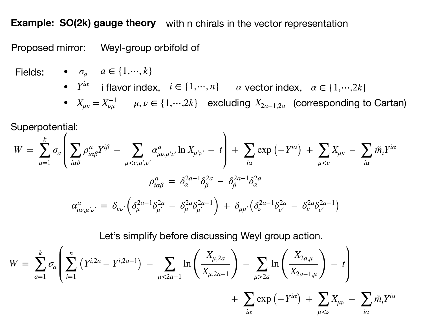Proposed mirror: Weyl-group orbifold of

$$
\text{Fields:} \qquad \bullet \quad \sigma_a \quad a \in \{1, \cdots, k\}
$$

- $Y^{i\alpha}$  i flavor index,  $i \in \{1, \dots, n\}$  *α* vector index,  $\alpha \in \{1, \dots, 2k\}$
- $X_{\mu\nu} = X_{\nu\mu}^{-1}$   $\mu, \nu \in \{1, \dots, 2k\}$  excluding  $X_{2a-1,2a}$  (corresponding to Cartan)

Superpotential:

$$
W = \sum_{a=1}^{k} \sigma_a \left( \sum_{i\alpha\beta} \rho_{i\alpha\beta}^a Y^{i\beta} - \sum_{\mu < \nu; \mu', \nu'} \alpha_{\mu\nu, \mu'\nu'}^a \ln X_{\mu'\nu'} - t \right) + \sum_{i\alpha} \exp\left( -Y^{i\alpha} \right) + \sum_{\mu < \nu} X_{\mu\nu} - \sum_{i\alpha} \tilde{m}_i Y^{i\alpha}
$$
\n
$$
\rho_{i\alpha\beta}^a = \delta_{\alpha}^{2a-1} \delta_{\beta}^{2a} - \delta_{\beta}^{2a-1} \delta_{\alpha}^{2a}
$$
\n
$$
\alpha_{\mu\nu, \mu'\nu'}^a = \delta_{\nu\nu'} \left( \delta_{\mu}^{2a-1} \delta_{\mu'}^{2a} - \delta_{\mu}^{2a} \delta_{\mu'}^{2a-1} \right) + \delta_{\mu\mu'} \left( \delta_{\nu}^{2a-1} \delta_{\nu'}^{2a} - \delta_{\nu}^{2a} \delta_{\nu'}^{2a-1} \right)
$$

Let's simplify before discussing Weyl group action.

$$
W = \sum_{a=1}^{k} \sigma_a \left( \sum_{i=1}^{n} (Y^{i,2a} - Y^{i,2a-1}) - \sum_{\mu < 2a-1} \ln \left( \frac{X_{\mu,2a}}{X_{\mu,2a-1}} \right) - \sum_{\mu > 2a} \ln \left( \frac{X_{2a,\mu}}{X_{2a-1,\mu}} \right) - t \right) + \sum_{i\alpha} \exp(-Y^{i\alpha}) + \sum_{\mu < \nu} X_{\mu\nu} - \sum_{i\alpha} \tilde{m}_i Y^{i\alpha}
$$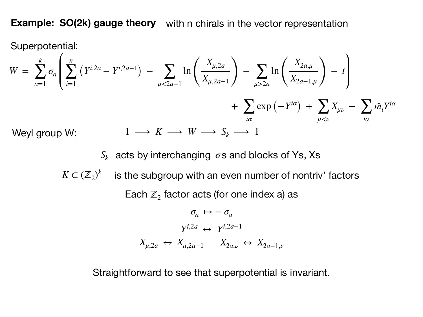Superpotential:

$$
W = \sum_{a=1}^{k} \sigma_a \left( \sum_{i=1}^{n} \left( Y^{i,2a} - Y^{i,2a-1} \right) - \sum_{\mu < 2a-1} \ln \left( \frac{X_{\mu,2a}}{X_{\mu,2a-1}} \right) - \sum_{\mu > 2a} \ln \left( \frac{X_{2a,\mu}}{X_{2a-1,\mu}} \right) - t \right) + \sum_{i\alpha} \exp \left( -Y^{i\alpha} \right) + \sum_{\mu < \nu} X_{\mu\nu} - \sum_{i\alpha} \tilde{m}_i Y^{i\alpha}
$$
\nWeyl group W:

\n
$$
1 \longrightarrow K \longrightarrow W \longrightarrow S_k \longrightarrow 1
$$

*S<sub>k</sub>* acts by interchanging  $\sigma$ s and blocks of Ys, Xs

 $K \subset (\mathbb{Z}_2)^k$  is the subgroup with an even number of nontriv' factors

Each  $\mathbb{Z}_2$  factor acts (for one index a) as

$$
\sigma_a \mapsto -\sigma_a
$$
  
\n
$$
Y^{i,2a} \leftrightarrow Y^{i,2a-1}
$$
  
\n
$$
X_{\mu,2a} \leftrightarrow X_{\mu,2a-1} \quad X_{2a,\nu} \leftrightarrow X_{2a-1,\nu}
$$

Straightforward to see that superpotential is invariant.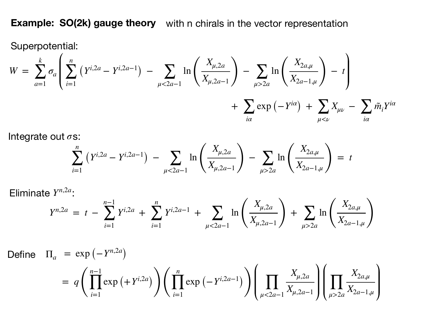Superpotential:

$$
W = \sum_{a=1}^{k} \sigma_a \left( \sum_{i=1}^{n} (Y^{i,2a} - Y^{i,2a-1}) - \sum_{\mu < 2a-1} \ln \left( \frac{X_{\mu,2a}}{X_{\mu,2a-1}} \right) - \sum_{\mu > 2a} \ln \left( \frac{X_{2a,\mu}}{X_{2a-1,\mu}} \right) - t \right) + \sum_{i\alpha} \exp(-Y^{i\alpha}) + \sum_{\mu < \nu} X_{\mu\nu} - \sum_{i\alpha} \tilde{m}_i Y^{i\alpha}
$$

Integrate out σs:

$$
\sum_{i=1}^{n} (Y^{i,2a} - Y^{i,2a-1}) - \sum_{\mu < 2a-1} \ln \left( \frac{X_{\mu,2a}}{X_{\mu,2a-1}} \right) - \sum_{\mu > 2a} \ln \left( \frac{X_{2a,\mu}}{X_{2a-1,\mu}} \right) = t
$$

Eliminate  $Y^{n,2a}$ :

$$
Y^{n,2a} = t - \sum_{i=1}^{n-1} Y^{i,2a} + \sum_{i=1}^{n} Y^{i,2a-1} + \sum_{\mu < 2a-1} \ln \left( \frac{X_{\mu,2a}}{X_{\mu,2a-1}} \right) + \sum_{\mu > 2a} \ln \left( \frac{X_{2a,\mu}}{X_{2a-1,\mu}} \right)
$$

Define 
$$
\Pi_a = \exp(-Y^{n,2a})
$$
  
=  $q \left( \prod_{i=1}^{n-1} \exp(+Y^{i,2a}) \right) \left( \prod_{i=1}^n \exp(-Y^{i,2a-1}) \right) \left( \prod_{\mu < 2a-1} \frac{X_{\mu,2a}}{X_{\mu,2a-1}} \right) \left( \prod_{\mu > 2a} \frac{X_{2a,\mu}}{X_{2a-1,\mu}} \right)$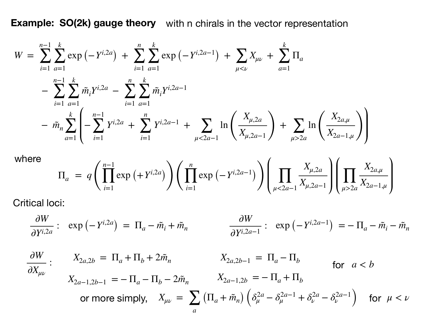$$
W = \sum_{i=1}^{n-1} \sum_{a=1}^{k} \exp(-Y^{i,2a}) + \sum_{i=1}^{n} \sum_{a=1}^{k} \exp(-Y^{i,2a-1}) + \sum_{\mu < \nu} X_{\mu\nu} + \sum_{a=1}^{k} \Pi_a
$$
  
- 
$$
\sum_{i=1}^{n-1} \sum_{a=1}^{k} \tilde{m}_i Y^{i,2a} - \sum_{i=1}^{n} \sum_{a=1}^{k} \tilde{m}_i Y^{i,2a-1}
$$
  
- 
$$
\tilde{m}_n \sum_{a=1}^{k} \left( -\sum_{i=1}^{n-1} Y^{i,2a} + \sum_{i=1}^{n} Y^{i,2a-1} + \sum_{\mu < 2a-1} \ln\left(\frac{X_{\mu,2a}}{X_{\mu,2a-1}}\right) + \sum_{\mu > 2a} \ln\left(\frac{X_{2a,\mu}}{X_{2a-1,\mu}}\right) \right)
$$

where

$$
\Pi_{a} = q \left( \prod_{i=1}^{n-1} \exp\left(+Y^{i,2a}\right) \right) \left( \prod_{i=1}^{n} \exp\left(-Y^{i,2a-1}\right) \right) \left( \prod_{\mu < 2a-1} \frac{X_{\mu,2a}}{X_{\mu,2a-1}} \right) \left( \prod_{\mu > 2a} \frac{X_{2a,\mu}}{X_{2a-1,\mu}} \right)
$$

Critical loci:

$$
\frac{\partial W}{\partial Y^{i,2a}}: \exp(-Y^{i,2a}) = \Pi_a - \tilde{m}_i + \tilde{m}_n \qquad \frac{\partial W}{\partial Y^{i,2a-1}}: \exp(-Y^{i,2a-1}) = -\Pi_a - \tilde{m}_i - \tilde{m}_n
$$
\n
$$
\frac{\partial W}{\partial X_{\mu\nu}}: X_{2a,2b} = \Pi_a + \Pi_b + 2\tilde{m}_n \qquad X_{2a,2b-1} = \Pi_a - \Pi_b \qquad \text{for } a < b
$$
\n
$$
X_{2a-1,2b-1} = -\Pi_a - \Pi_b - 2\tilde{m}_n \qquad X_{2a-1,2b} = -\Pi_a + \Pi_b
$$
\n
$$
\text{or more simply, } X_{\mu\nu} = \sum_a \left(\Pi_a + \tilde{m}_n\right) \left(\delta_{\mu}^{2a} - \delta_{\mu}^{2a-1} + \delta_{\nu}^{2a} - \delta_{\nu}^{2a-1}\right) \quad \text{for } \mu < \nu
$$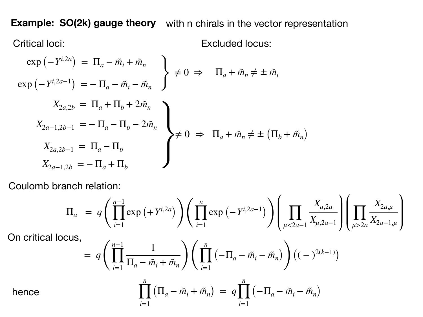Critical loci:

Excluded locus:

$$
\exp(-Y^{i,2a}) = \Pi_a - \tilde{m}_i + \tilde{m}_n
$$
\n
$$
\exp(-Y^{i,2a-1}) = -\Pi_a - \tilde{m}_i - \tilde{m}_n
$$
\n
$$
X_{2a,2b} = \Pi_a + \Pi_b + 2\tilde{m}_n
$$
\n
$$
X_{2a-1,2b-1} = -\Pi_a - \Pi_b - 2\tilde{m}_n
$$
\n
$$
X_{2a-1,2b-1} = \Pi_a - \Pi_b
$$
\n
$$
X_{2a-1,2b} = -\Pi_a + \Pi_b
$$
\n
$$
X_{2a-1,2b} = -\Pi_a + \Pi_b
$$

Coulomb branch relation:

$$
\Pi_{a} = q \left( \prod_{i=1}^{n-1} \exp \left( + Y^{i,2a} \right) \right) \left( \prod_{i=1}^{n} \exp \left( - Y^{i,2a-1} \right) \right) \left( \prod_{\mu < 2a-1} \frac{X_{\mu,2a}}{X_{\mu,2a-1}} \right) \left( \prod_{\mu > 2a} \frac{X_{2a,\mu}}{X_{2a-1,\mu}} \right)
$$

On critical locus,

$$
= q\left(\prod_{i=1}^{n-1} \frac{1}{\prod_a - \tilde{m}_i + \tilde{m}_n}\right) \left(\prod_{i=1}^n \left(-\prod_a - \tilde{m}_i - \tilde{m}_n\right)\right) \left(1 - e^{2(k-1)}\right)
$$

hence

$$
\prod_{i=1}^{n} \left( \Pi_a - \tilde{m}_i + \tilde{m}_n \right) = q \prod_{i=1}^{n} \left( -\Pi_a - \tilde{m}_i - \tilde{m}_n \right)
$$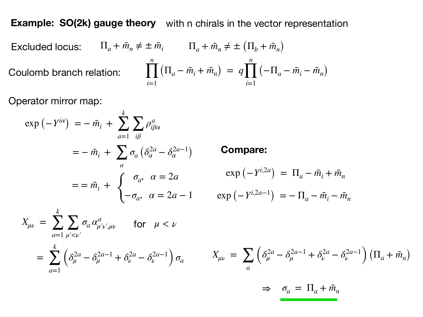Excluded locus:  $\Pi_a + \tilde{m}_n \neq \pm \tilde{m}_i$   $\Pi_a + \tilde{m}_n \neq \pm (\Pi_b + \tilde{m}_n)$ Coulomb branch relation: *n*  $\prod (\Pi_a - \tilde{m}_i + \tilde{m}_n) = q$ *i*=1 *n*  $\prod$   $\left(-\Pi_a - \tilde{m}_i - \tilde{m}_n\right)$  $i=1$ 

Operator mirror map:

$$
\exp(-Y^{i\alpha}) = -\tilde{m}_i + \sum_{a=1}^k \sum_{i\beta} \rho_{i\beta\alpha}^a
$$
  
=  $-\tilde{m}_i + \sum_a \sigma_a (\delta_{\alpha}^{2a} - \delta_{\alpha}^{2a-1})$   
=  $-\tilde{m}_i + \begin{cases} \sigma_a, & \alpha = 2a \\ -\sigma_a, & \alpha = 2a-1 \end{cases}$ 

**Compare:**

$$
\exp(-Y^{i,2a}) = \Pi_a - \tilde{m}_i + \tilde{m}_n
$$

$$
\exp(-Y^{i,2a-1}) = -\Pi_a - \tilde{m}_i - \tilde{m}_n
$$

$$
X_{\mu\nu} = \sum_{a=1}^{k} \sum_{\mu' < \nu'} \sigma_a \alpha_{\mu' \nu', \mu\nu}^a \quad \text{for} \quad \mu < \nu
$$
  
= 
$$
\sum_{a=1}^{k} \left( \delta_{\mu}^{2a} - \delta_{\mu}^{2a-1} + \delta_{\nu}^{2a} - \delta_{\nu}^{2a-1} \right) \sigma_a \qquad X_{\mu\nu} = \sum_{a} \left( \delta_{\mu}^{2a} - \delta_{\mu}^{2a-1} + \delta_{\nu}^{2a} - \delta_{\nu}^{2a-1} \right) \left( \Pi_a + \tilde{m}_n \right)
$$

$$
\Rightarrow \quad \sigma_a = \Pi_a + \tilde{m}_n
$$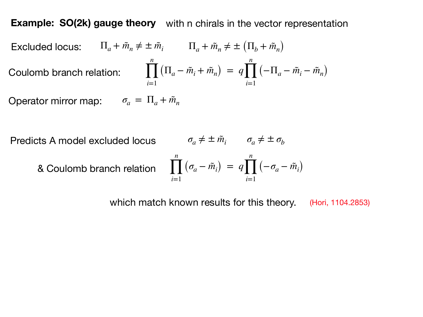Excluded locus:  $\Pi_a + \tilde{m}_n \neq \pm \tilde{m}_i$   $\Pi_a + \tilde{m}_n \neq \pm (\Pi_b + \tilde{m}_n)$ Coulomb branch relation: *n*  $\prod (\Pi_a - \tilde{m}_i + \tilde{m}_n) = q$ *i*=1 *n*  $\prod$   $\left(-\Pi_a - \tilde{m}_i - \tilde{m}_n\right)$ *i*=1

Operator mirror map:  $\sigma_a = \Pi_a + \tilde{m}_n$ 

Predicts A model excluded locus  $\sigma_a \neq \pm \tilde{m}_i$   $\sigma_a \neq \pm \sigma_b$ 

& Coulomb branch relation

$$
\prod_{i=1}^{n} (\sigma_a - \tilde{m}_i) = q \prod_{i=1}^{n} (-\sigma_a - \tilde{m}_i)
$$

which match known results for this theory. (Hori, 1104.2853)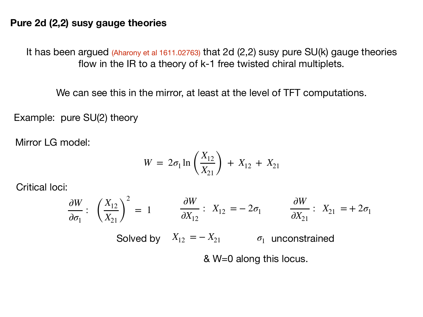It has been argued (Aharony et al 1611.02763) that 2d (2,2) susy pure SU(k) gauge theories flow in the IR to a theory of k-1 free twisted chiral multiplets.

We can see this in the mirror, at least at the level of TFT computations.

Example: pure SU(2) theory

Mirror LG model:

$$
W = 2\sigma_1 \ln\left(\frac{X_{12}}{X_{21}}\right) + X_{12} + X_{21}
$$

Critical loci:

$$
\frac{\partial W}{\partial \sigma_1} : \left(\frac{X_{12}}{X_{21}}\right)^2 = 1 \qquad \frac{\partial W}{\partial X_{12}} : X_{12} = -2\sigma_1 \qquad \frac{\partial W}{\partial X_{21}} : X_{21} = +2\sigma_1
$$
  
Solved by  $X_{12} = -X_{21}$   $\sigma_1$  unconstrained

& W=0 along this locus.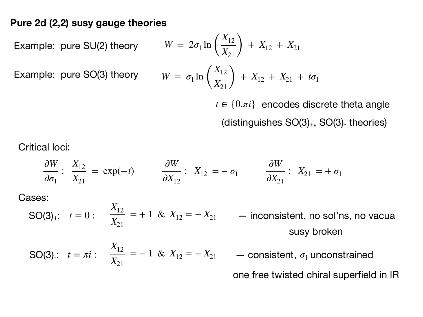Example: pure SU(2) theory

Example: pure SO(3) theory

$$
W = 2\sigma_1 \ln\left(\frac{X_{12}}{X_{21}}\right) + X_{12} + X_{21}
$$
  

$$
W = \sigma_1 \ln\left(\frac{X_{12}}{X_{21}}\right) + X_{12} + X_{21} + t\sigma_1
$$

(distinguishes  $SO(3)_+$ ,  $SO(3)_-$  theories)  $t \in \{0,\pi i\}$  encodes discrete theta angle

Critical loci:

$$
\frac{\partial W}{\partial \sigma_1} : \frac{X_{12}}{X_{21}} = \exp(-t) \qquad \frac{\partial W}{\partial X_{12}} : X_{12} = -\sigma_1 \qquad \frac{\partial W}{\partial X_{21}} : X_{21} = +\sigma_1
$$

Cases:

 $t=0:$ *X*<sup>12</sup> *X*<sup>21</sup> SO(3)<sub>+</sub>:  $t = 0$  :  $\frac{12}{Y} = +1$  &  $X_{12} = -X_{21}$  — inconsistent, no sol'ns, no vacua

susy broken

SO(3): 
$$
t = \pi i
$$
:  $\frac{X_{12}}{X_{21}} = -1$  &  $X_{12} = -X_{21}$ 

 $-$  consistent,  $σ₁$  unconstrained one free twisted chiral superfield in IR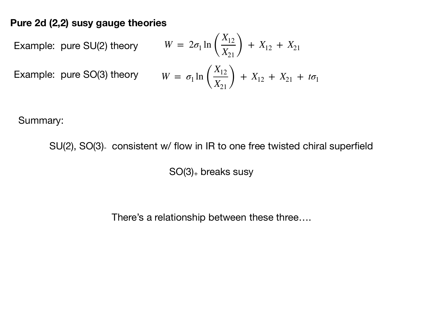Example: pure SU(2) theory

Example: pure SU(2) theory 
$$
W = 2\sigma_1 \ln\left(\frac{X_{12}}{X_{21}}\right) + X_{12} + X_{21}
$$
  
Example: pure SO(3) theory 
$$
W = \sigma_1 \ln\left(\frac{X_{12}}{X_{21}}\right) + X_{12} + X_{21} + t\sigma_1
$$

Summary:

SU(2), SO(3)- consistent w/ flow in IR to one free twisted chiral superfield

SO(3)+ breaks susy

There's a relationship between these three….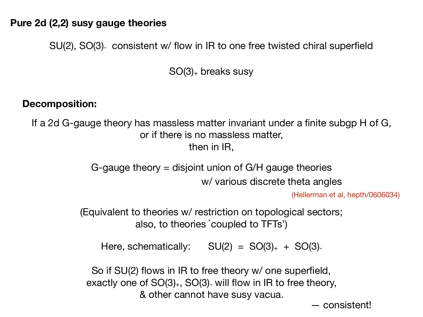SU(2), SO(3)- consistent w/ flow in IR to one free twisted chiral superfield

SO(3)+ breaks susy

#### **Decomposition:**

If a 2d G-gauge theory has massless matter invariant under a finite subgp H of G, or if there is no massless matter, then in IR,

> G-gauge theory  $=$  disjoint union of G/H gauge theories w/ various discrete theta angles

> > (Hellerman et al, hepth/0606034)

(Equivalent to theories w/ restriction on topological sectors; also, to theories `coupled to TFTs')

Here, schematically:  $SU(2) = SO(3)_+ + SO(3)$ .

So if SU(2) flows in IR to free theory w/ one superfield, exactly one of  $SO(3)_+$ ,  $SO(3)_-$  will flow in IR to free theory, & other cannot have susy vacua.

— consistent!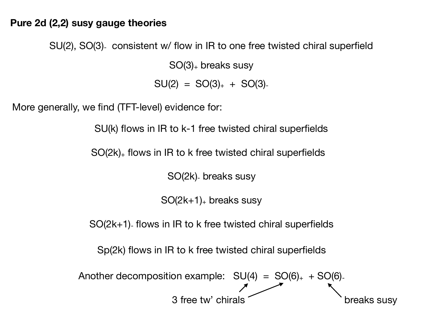SU(2), SO(3)- consistent w/ flow in IR to one free twisted chiral superfield SO(3)+ breaks susy  $SU(2) = SO(3)_+ + SO(3)_-$ 

More generally, we find (TFT-level) evidence for:

SU(k) flows in IR to k-1 free twisted chiral superfields

 $SO(2k)$ <sub>+</sub> flows in IR to k free twisted chiral superfields

SO(2k)- breaks susy

 $SO(2k+1)$ <sup>+</sup> breaks susy

SO(2k+1)- flows in IR to k free twisted chiral superfields

Sp(2k) flows in IR to k free twisted chiral superfields

Another decomposition example:  $SU(4) = SO(6)_+ + SO(6)_-$ 3 free tw' chirals breaks susy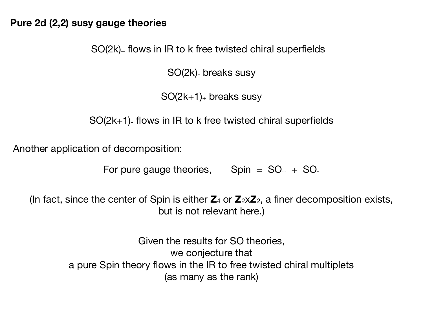SO(2k)+ flows in IR to k free twisted chiral superfields

SO(2k)- breaks susy

 $SO(2k+1)$ <sup>+</sup> breaks susy

SO(2k+1)- flows in IR to k free twisted chiral superfields

Another application of decomposition:

For pure gauge theories, Spin =  $SO_+$  + SO.

(In fact, since the center of Spin is either  $\mathbb{Z}_4$  or  $\mathbb{Z}_2 \times \mathbb{Z}_2$ , a finer decomposition exists, but is not relevant here.)

> Given the results for SO theories, we conjecture that a pure Spin theory flows in the IR to free twisted chiral multiplets (as many as the rank)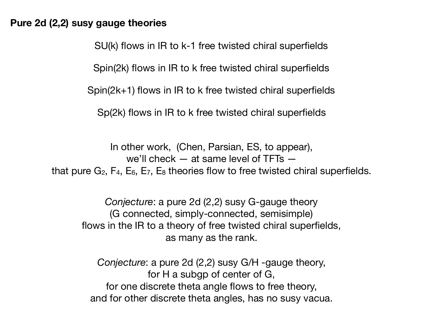SU(k) flows in IR to k-1 free twisted chiral superfields

Spin(2k) flows in IR to k free twisted chiral superfields

Spin(2k+1) flows in IR to k free twisted chiral superfields

Sp(2k) flows in IR to k free twisted chiral superfields

In other work, (Chen, Parsian, ES, to appear), we'll check — at same level of TFTs that pure  $G_2$ ,  $F_4$ ,  $E_6$ ,  $E_7$ ,  $E_8$  theories flow to free twisted chiral superfields.

*Conjecture*: a pure 2d (2,2) susy G-gauge theory (G connected, simply-connected, semisimple) flows in the IR to a theory of free twisted chiral superfields, as many as the rank.

*Conjecture*: a pure 2d (2,2) susy G/H -gauge theory, for H a subgp of center of G, for one discrete theta angle flows to free theory, and for other discrete theta angles, has no susy vacua.